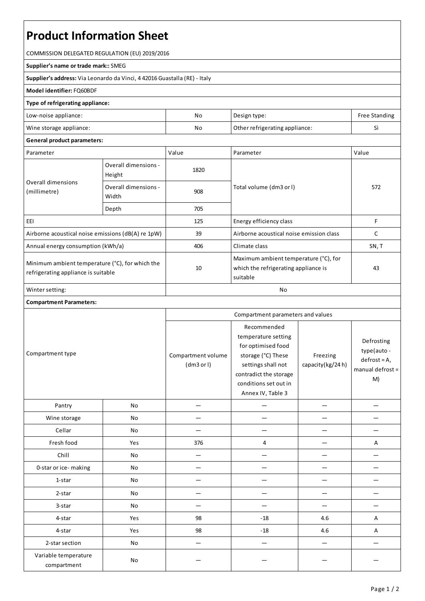# **Product Information Sheet**

COMMISSION DELEGATED REGULATION (EU) 2019/2016

#### **Supplier's name or trade mark::**SMEG

**Supplier's address:** ViaLeonardo da Vinci, 4 42016 Guastalla(RE) - Italy

### **Model identifier:**FQ60BDF

#### **Type of refrigerating appliance:**

| Low-noise appliance:    | No | Design type:                   | Free Standing |
|-------------------------|----|--------------------------------|---------------|
| Wine storage appliance: | No | Other refrigerating appliance: |               |

## **General product parameters:**

| Parameter                                                                              |                                | Value | Parameter                                                                                 | Value |
|----------------------------------------------------------------------------------------|--------------------------------|-------|-------------------------------------------------------------------------------------------|-------|
| Overall dimensions<br>(millimetre)                                                     | Overall dimensions -<br>Height | 1820  |                                                                                           | 572   |
|                                                                                        | Overall dimensions -<br>Width  | 908   | Total volume (dm3 or l)                                                                   |       |
|                                                                                        | Depth                          | 705   |                                                                                           |       |
| EEI                                                                                    |                                | 125   | Energy efficiency class                                                                   | F     |
| Airborne acoustical noise emissions (dB(A) re 1pW)                                     |                                | 39    | Airborne acoustical noise emission class                                                  | C     |
| Annual energy consumption (kWh/a)                                                      |                                | 406   | Climate class                                                                             | SN, T |
| Minimum ambient temperature (°C), for which the<br>refrigerating appliance is suitable |                                | 10    | Maximum ambient temperature (°C), for<br>which the refrigerating appliance is<br>suitable | 43    |
| Winter setting:                                                                        |                                | No    |                                                                                           |       |

## **Compartment Parameters:**

| Compartment type                    |     | Compartment parameters and values |                                                                                                                                                                              |                              |                                                                       |
|-------------------------------------|-----|-----------------------------------|------------------------------------------------------------------------------------------------------------------------------------------------------------------------------|------------------------------|-----------------------------------------------------------------------|
|                                     |     | Compartment volume<br>(dm3 or l)  | Recommended<br>temperature setting<br>for optimised food<br>storage (°C) These<br>settings shall not<br>contradict the storage<br>conditions set out in<br>Annex IV, Table 3 | Freezing<br>capacity(kg/24h) | Defrosting<br>type(auto -<br>$defrost = A,$<br>manual defrost =<br>M) |
| Pantry                              | No  |                                   |                                                                                                                                                                              |                              |                                                                       |
| Wine storage                        | No  |                                   |                                                                                                                                                                              |                              |                                                                       |
| Cellar                              | No  |                                   |                                                                                                                                                                              |                              |                                                                       |
| Fresh food                          | Yes | 376                               | 4                                                                                                                                                                            |                              | Α                                                                     |
| Chill                               | No  |                                   |                                                                                                                                                                              |                              |                                                                       |
| 0-star or ice-making                | No  |                                   |                                                                                                                                                                              |                              |                                                                       |
| 1-star                              | No  |                                   |                                                                                                                                                                              |                              |                                                                       |
| 2-star                              | No  |                                   |                                                                                                                                                                              |                              |                                                                       |
| 3-star                              | No  |                                   |                                                                                                                                                                              |                              |                                                                       |
| 4-star                              | Yes | 98                                | $-18$                                                                                                                                                                        | 4.6                          | A                                                                     |
| 4-star                              | Yes | 98                                | $-18$                                                                                                                                                                        | 4.6                          | А                                                                     |
| 2-star section                      | No  | -                                 |                                                                                                                                                                              |                              |                                                                       |
| Variable temperature<br>compartment | No  |                                   |                                                                                                                                                                              |                              |                                                                       |